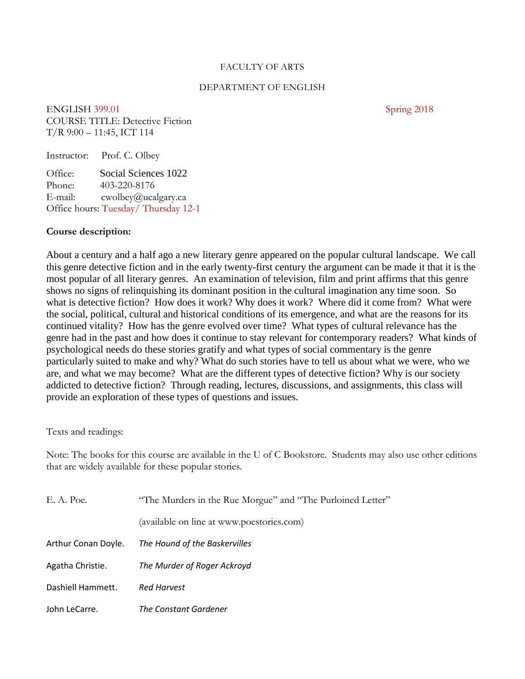#### FACULTY OF ARTS

#### DEPARTMENT OF ENGLISH

ENGLISH 399.01 Spring 2018 COURSE TITLE: Detective Fiction T/R 9:00 – 11:45, ICT 114

| Instructor:                         | Prof. C. Olbey                       |  |  |
|-------------------------------------|--------------------------------------|--|--|
| Office:<br>Phone:                   | Social Sciences 1022<br>403-220-8176 |  |  |
| E-mail:                             | cwolbey@ucalgary.ca                  |  |  |
| Office hours: Tuesday/Thursday 12-1 |                                      |  |  |

#### **Course description:**

About a century and a half ago a new literary genre appeared on the popular cultural landscape. We call this genre detective fiction and in the early twenty-first century the argument can be made it that it is the most popular of all literary genres. An examination of television, film and print affirms that this genre shows no signs of relinquishing its dominant position in the cultural imagination any time soon. So what is detective fiction? How does it work? Why does it work? Where did it come from? What were the social, political, cultural and historical conditions of its emergence, and what are the reasons for its continued vitality? How has the genre evolved over time? What types of cultural relevance has the genre had in the past and how does it continue to stay relevant for contemporary readers? What kinds of psychological needs do these stories gratify and what types of social commentary is the genre particularly suited to make and why? What do such stories have to tell us about what we were, who we are, and what we may become? What are the different types of detective fiction? Why is our society addicted to detective fiction? Through reading, lectures, discussions, and assignments, this class will provide an exploration of these types of questions and issues.

Texts and readings:

Note: The books for this course are available in the U of C Bookstore. Students may also use other editions that are widely available for these popular stories.

| E. A. Poe.          | "The Murders in the Rue Morgue" and "The Purloined Letter" |  |
|---------------------|------------------------------------------------------------|--|
|                     | (available on line at www.poestories.com)                  |  |
| Arthur Conan Doyle. | The Hound of the Baskervilles                              |  |
| Agatha Christie.    | The Murder of Roger Ackroyd                                |  |
| Dashiell Hammett.   | <b>Red Harvest</b>                                         |  |
| John LeCarre.       | The Constant Gardener                                      |  |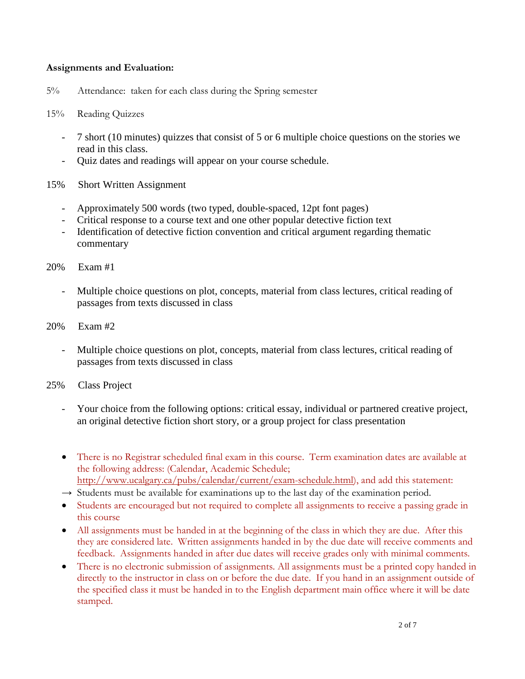### **Assignments and Evaluation:**

5% Attendance: taken for each class during the Spring semester

### 15% Reading Quizzes

- 7 short (10 minutes) quizzes that consist of 5 or 6 multiple choice questions on the stories we read in this class.
- Quiz dates and readings will appear on your course schedule.
- 15% Short Written Assignment
	- Approximately 500 words (two typed, double-spaced, 12pt font pages)
	- Critical response to a course text and one other popular detective fiction text
	- Identification of detective fiction convention and critical argument regarding thematic commentary
- 20% Exam #1
	- Multiple choice questions on plot, concepts, material from class lectures, critical reading of passages from texts discussed in class
- 20% Exam #2
	- Multiple choice questions on plot, concepts, material from class lectures, critical reading of passages from texts discussed in class
- 25% Class Project
	- Your choice from the following options: critical essay, individual or partnered creative project, an original detective fiction short story, or a group project for class presentation
	- There is no Registrar scheduled final exam in this course. Term examination dates are available at the following address: (Calendar, Academic Schedule; [http://www.ucalgary.ca/pubs/calendar/current/exam-schedule.html\)](http://www.ucalgary.ca/pubs/calendar/current/exam-schedule.html), and add this statement:
	- $\rightarrow$  Students must be available for examinations up to the last day of the examination period.
	- Students are encouraged but not required to complete all assignments to receive a passing grade in this course
	- All assignments must be handed in at the beginning of the class in which they are due. After this they are considered late. Written assignments handed in by the due date will receive comments and feedback. Assignments handed in after due dates will receive grades only with minimal comments.
	- There is no electronic submission of assignments. All assignments must be a printed copy handed in directly to the instructor in class on or before the due date. If you hand in an assignment outside of the specified class it must be handed in to the English department main office where it will be date stamped.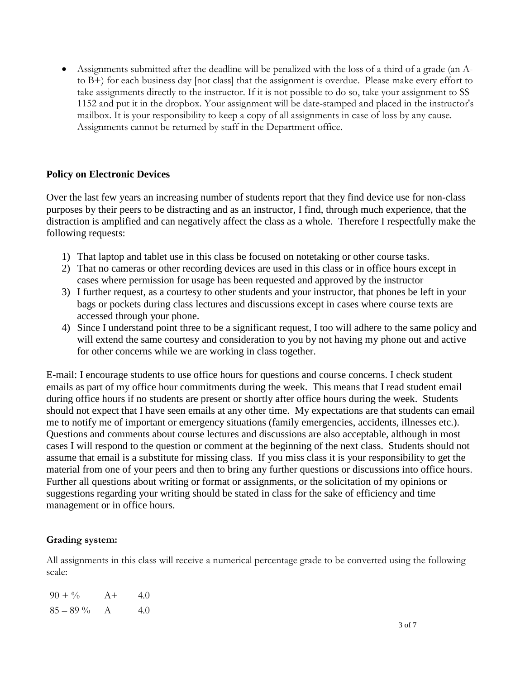• Assignments submitted after the deadline will be penalized with the loss of a third of a grade (an Ato B+) for each business day [not class] that the assignment is overdue. Please make every effort to take assignments directly to the instructor. If it is not possible to do so, take your assignment to SS 1152 and put it in the dropbox. Your assignment will be date-stamped and placed in the instructor's mailbox. It is your responsibility to keep a copy of all assignments in case of loss by any cause. Assignments cannot be returned by staff in the Department office.

### **Policy on Electronic Devices**

Over the last few years an increasing number of students report that they find device use for non-class purposes by their peers to be distracting and as an instructor, I find, through much experience, that the distraction is amplified and can negatively affect the class as a whole. Therefore I respectfully make the following requests:

- 1) That laptop and tablet use in this class be focused on notetaking or other course tasks.
- 2) That no cameras or other recording devices are used in this class or in office hours except in cases where permission for usage has been requested and approved by the instructor
- 3) I further request, as a courtesy to other students and your instructor, that phones be left in your bags or pockets during class lectures and discussions except in cases where course texts are accessed through your phone.
- 4) Since I understand point three to be a significant request, I too will adhere to the same policy and will extend the same courtesy and consideration to you by not having my phone out and active for other concerns while we are working in class together.

E-mail: I encourage students to use office hours for questions and course concerns. I check student emails as part of my office hour commitments during the week. This means that I read student email during office hours if no students are present or shortly after office hours during the week. Students should not expect that I have seen emails at any other time. My expectations are that students can email me to notify me of important or emergency situations (family emergencies, accidents, illnesses etc.). Questions and comments about course lectures and discussions are also acceptable, although in most cases I will respond to the question or comment at the beginning of the next class. Students should not assume that email is a substitute for missing class. If you miss class it is your responsibility to get the material from one of your peers and then to bring any further questions or discussions into office hours. Further all questions about writing or format or assignments, or the solicitation of my opinions or suggestions regarding your writing should be stated in class for the sake of efficiency and time management or in office hours.

### **Grading system:**

All assignments in this class will receive a numerical percentage grade to be converted using the following scale:

| $90 + \%$   | $A+$ | 4.0 |
|-------------|------|-----|
| $85 - 89\%$ | A    | 4.0 |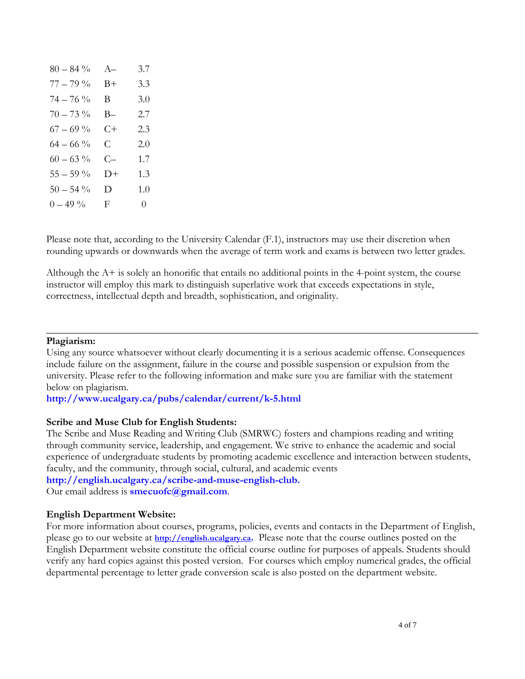| $80 - 84\%$ | $A-$           | 3.7      |
|-------------|----------------|----------|
| $77 - 79 %$ | $_{\rm B+}$    | 3.3      |
| $74 - 76 %$ | $\mathbf{B}$   | 3.0      |
| $70 - 73 %$ | B—             | 2.7      |
| $67 - 69 %$ | C+             | 2.3      |
| $64 - 66\%$ | $\mathsf{C}^-$ | 2.0      |
| $60 - 63\%$ | C—             | 1.7      |
| $55-59~\%$  | D+             | 1.3      |
| $50 - 54\%$ | D              | 1.0      |
| $0 - 49\%$  | F.             | $\theta$ |

Please note that, according to the University Calendar (F.1), instructors may use their discretion when rounding upwards or downwards when the average of term work and exams is between two letter grades.

Although the A+ is solely an honorific that entails no additional points in the 4-point system, the course instructor will employ this mark to distinguish superlative work that exceeds expectations in style, correctness, intellectual depth and breadth, sophistication, and originality.

#### **Plagiarism:**

Using any source whatsoever without clearly documenting it is a serious academic offense. Consequences include failure on the assignment, failure in the course and possible suspension or expulsion from the university. Please refer to the following information and make sure you are familiar with the statement below on plagiarism.

\_\_\_\_\_\_\_\_\_\_\_\_\_\_\_\_\_\_\_\_\_\_\_\_\_\_\_\_\_\_\_\_\_\_\_\_\_\_\_\_\_\_\_\_\_\_\_\_\_\_\_\_\_\_\_\_\_\_\_\_\_\_\_\_\_\_\_\_\_\_\_\_\_\_\_\_\_\_\_\_\_\_\_\_

**<http://www.ucalgary.ca/pubs/calendar/current/k-5.html>**

#### **Scribe and Muse Club for English Students:**

The Scribe and Muse Reading and Writing Club (SMRWC) fosters and champions reading and writing through community service, leadership, and engagement. We strive to enhance the academic and social experience of undergraduate students by promoting academic excellence and interaction between students, faculty, and the community, through social, cultural, and academic events **[http://english.ucalgary.ca/scribe-and-muse-english-club.](http://english.ucalgary.ca/scribe-and-muse-english-club)** Our email address is **[smecuofc@gmail.com](mailto:smecuofc@gmail.com)**.

#### **English Department Website:**

For more information about courses, programs, policies, events and contacts in the Department of English, please go to our website at **[http://english.ucalgary.ca.](http://english.ucalgary.ca/)** Please note that the course outlines posted on the English Department website constitute the official course outline for purposes of appeals. Students should verify any hard copies against this posted version. For courses which employ numerical grades, the official departmental percentage to letter grade conversion scale is also posted on the department website.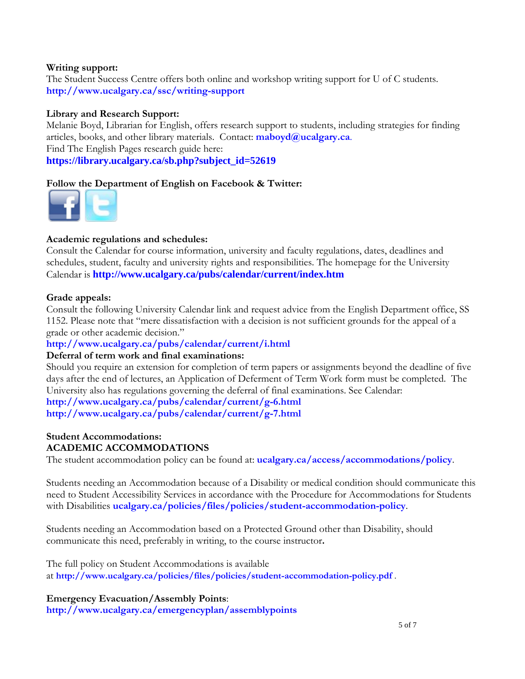### **Writing support:**

The Student Success Centre offers both online and workshop writing support for U of C students. **<http://www.ucalgary.ca/ssc/writing-support>**

### **Library and Research Support:**

Melanie Boyd, Librarian for English, offers research support to students, including strategies for finding articles, books, and other library materials. Contact: **[maboyd@ucalgary.ca](mailto:maboyd@ucalgary.ca)**. Find The English Pages research guide here: **[https://library.ucalgary.ca/sb.php?subject\\_id=52619](https://library.ucalgary.ca/sb.php?subject_id=52619)**

### **Follow the Department of English on Facebook & Twitter:**



### **Academic regulations and schedules:**

Consult the Calendar for course information, university and faculty regulations, dates, deadlines and schedules, student, faculty and university rights and responsibilities. The homepage for the University Calendar is **<http://www.ucalgary.ca/pubs/calendar/current/index.htm>**

#### **Grade appeals:**

Consult the following University Calendar link and request advice from the English Department office, SS 1152. Please note that "mere dissatisfaction with a decision is not sufficient grounds for the appeal of a grade or other academic decision."

### **<http://www.ucalgary.ca/pubs/calendar/current/i.html>**

### **Deferral of term work and final examinations:**

Should you require an extension for completion of term papers or assignments beyond the deadline of five days after the end of lectures, an Application of Deferment of Term Work form must be completed. The University also has regulations governing the deferral of final examinations. See Calendar:

# **<http://www.ucalgary.ca/pubs/calendar/current/g-6.html>**

**<http://www.ucalgary.ca/pubs/calendar/current/g-7.html>**

#### **Student Accommodations: ACADEMIC ACCOMMODATIONS**

The student accommodation policy can be found at: **[ucalgary.ca/access/accommodations/policy](http://www.ucalgary.ca/access/accommodations/policy)**.

Students needing an Accommodation because of a Disability or medical condition should communicate this need to Student Accessibility Services in accordance with the Procedure for Accommodations for Students with Disabilities **[ucalgary.ca/policies/files/policies/student-accommodation-policy](http://www.ucalgary.ca/policies/files/policies/student-accommodation-policy.pdf)**.

Students needing an Accommodation based on a Protected Ground other than Disability, should communicate this need, preferably in writing, to the course instructor**.**

The full policy on Student Accommodations is available at **<http://www.ucalgary.ca/policies/files/policies/student-accommodation-policy.pdf>** .

**Emergency Evacuation/Assembly Points**:

**<http://www.ucalgary.ca/emergencyplan/assemblypoints>**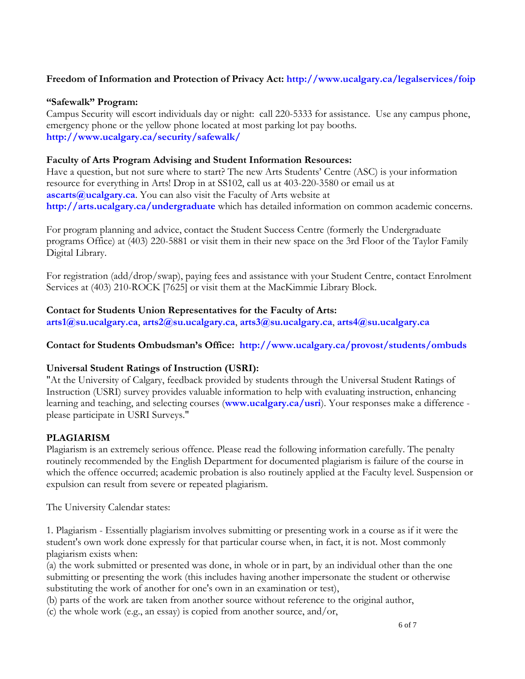# **Freedom of Information and Protection of Privacy Act:<http://www.ucalgary.ca/legalservices/foip>**

### **"Safewalk" Program:**

Campus Security will escort individuals day or night: call 220-5333 for assistance. Use any campus phone, emergency phone or the yellow phone located at most parking lot pay booths. **<http://www.ucalgary.ca/security/safewalk/>**

### **Faculty of Arts Program Advising and Student Information Resources:**

Have a question, but not sure where to start? The new Arts Students' Centre (ASC) is your information resource for everything in Arts! Drop in at SS102, call us at 403-220-3580 or email us at **[ascarts@ucalgary.ca](mailto:ascarts@ucalgary.ca)**. You can also visit the Faculty of Arts website at **<http://arts.ucalgary.ca/undergraduate>** which has detailed information on common academic concerns.

For program planning and advice, contact the Student Success Centre (formerly the Undergraduate programs Office) at (403) 220-5881 or visit them in their new space on the 3rd Floor of the Taylor Family Digital Library.

For registration (add/drop/swap), paying fees and assistance with your Student Centre, contact Enrolment Services at (403) 210-ROCK [7625] or visit them at the MacKimmie Library Block.

#### **Contact for Students Union Representatives for the Faculty of Arts: [arts1@su.ucalgary.ca](mailto:arts1@su.ucalgary.ca)**, **[arts2@su.ucalgary.ca](mailto:arts2@su.ucalgary.ca)**, **[arts3@su.ucalgary.ca](mailto:arts3@su.ucalgary.ca)**, **[arts4@su.ucalgary.ca](mailto:arts4@su.ucalgary.ca)**

## **Contact for Students Ombudsman's Office: <http://www.ucalgary.ca/provost/students/ombuds>**

### **Universal Student Ratings of Instruction (USRI):**

"At the University of Calgary, feedback provided by students through the Universal Student Ratings of Instruction (USRI) survey provides valuable information to help with evaluating instruction, enhancing learning and teaching, and selecting courses (**[www.ucalgary.ca/usri](http://www.ucalgary.ca/usri)**). Your responses make a difference please participate in USRI Surveys."

### **PLAGIARISM**

Plagiarism is an extremely serious offence. Please read the following information carefully. The penalty routinely recommended by the English Department for documented plagiarism is failure of the course in which the offence occurred; academic probation is also routinely applied at the Faculty level. Suspension or expulsion can result from severe or repeated plagiarism.

The University Calendar states:

1. Plagiarism - Essentially plagiarism involves submitting or presenting work in a course as if it were the student's own work done expressly for that particular course when, in fact, it is not. Most commonly plagiarism exists when:

(a) the work submitted or presented was done, in whole or in part, by an individual other than the one submitting or presenting the work (this includes having another impersonate the student or otherwise substituting the work of another for one's own in an examination or test),

(b) parts of the work are taken from another source without reference to the original author,

(c) the whole work (e.g., an essay) is copied from another source, and/or,